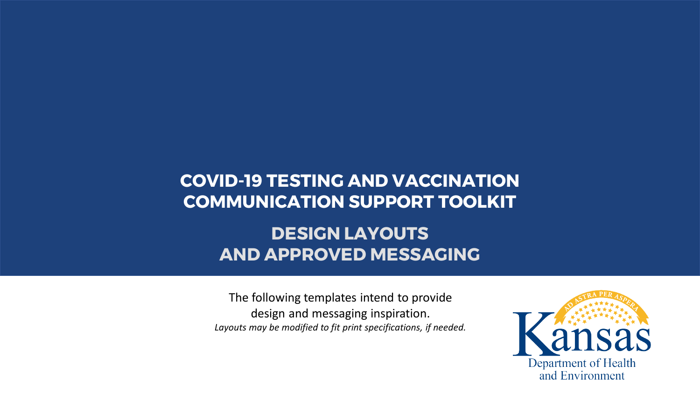## **COVID-19 TESTING AND VACCINATION COMMUNICATION SUPPORT TOOLKIT**

# **DESIGN LAYOUTS AND APPROVED MESSAGING**

The following templates intend to provide design and messaging inspiration. *Layouts may be modified to fit print specifications, if needed.*

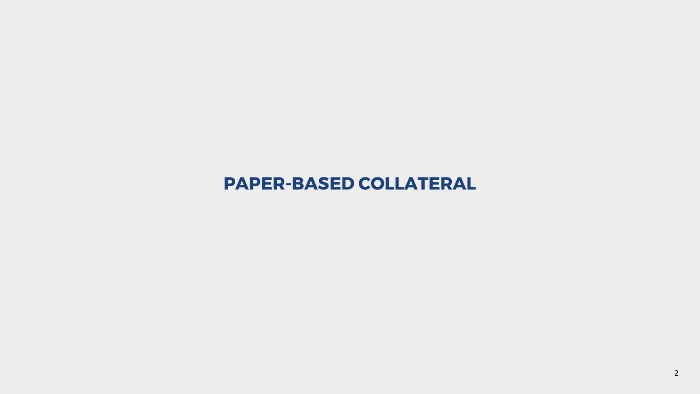## **PAPER-BASED COLLATERAL**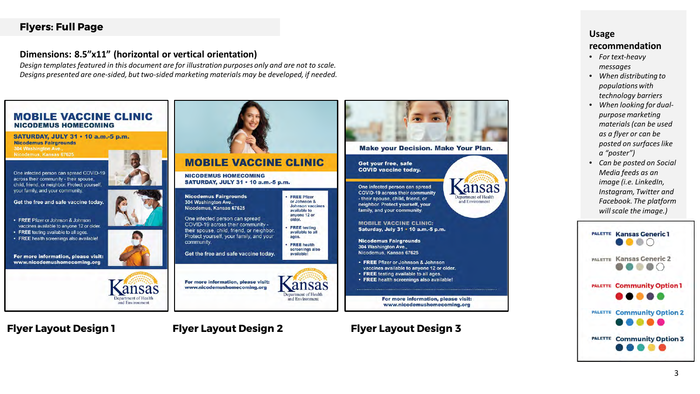## **Flyers: Full Page**

#### **Dimensions: 8.5"x11" (horizontal or vertical orientation)**

*Design templates featured in this document are for illustration purposes only and are not to scale. Designs presented are one-sided, but two-sided marketing materials may be developed, if needed.*



## **Flyer Layout Design 1 Flyer Layout Design 2**

## **Flyer Layout Design 3**

#### **Usage**

- *For text-heavy messages*
- *When distributing to populations with technology barriers*
- *When looking for dualpurpose marketing materials (can be used as a flyer or can be posted on surfaces like a "poster")*
- *Can be posted on Social Media feeds as an image (i.e. LinkedIn, Instagram, Twitter and Facebook. The platform will scale the image.)*

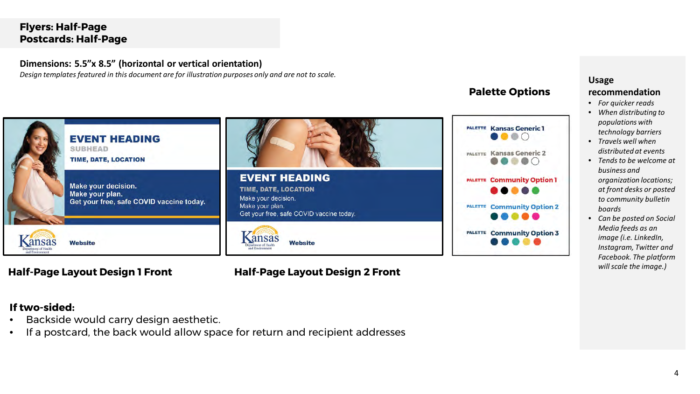## **Flyers: Half-Page Postcards: Half-Page**

#### **Dimensions: 5.5"x 8.5" (horizontal or vertical orientation)**

*Design templates featured in this document are for illustration purposes only and are not to scale.*



## *will scale the image.)* **Half-Page Layout Design 1 Front Half-Page Layout Design 2 Front**

#### **Palette Options**



#### **Usage**

#### **recommendation**

- *For quicker reads*
- *When distributing to populations with technology barriers*
- *Travels well when distributed at events*
- *Tends to be welcome at business and organization locations; at front desks or posted to community bulletin boards*
- *Can be posted on Social Media feeds as an image (i.e. LinkedIn, Instagram, Twitter and Facebook. The platform*

#### **If two-sided:**

- Backside would carry design aesthetic.
- If a postcard, the back would allow space for return and recipient addresses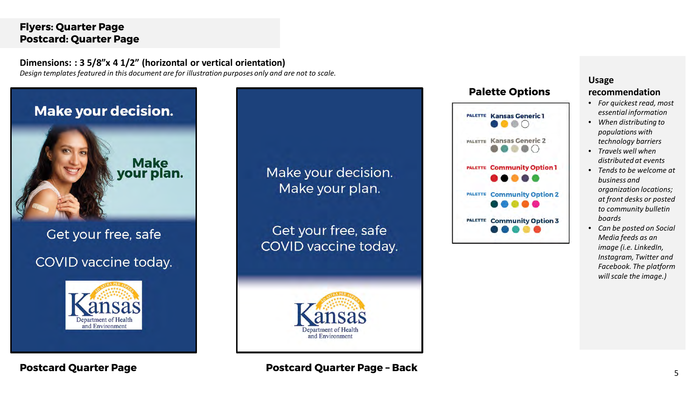## **Flyers: Quarter Page Postcard: Quarter Page**

**Dimensions: : 3 5/8"x 4 1/2" (horizontal or vertical orientation)** *Design templates featured in this document are for illustration purposes only and are not to scale.*



#### **Palette Options**



#### **Usage**

#### **recommendation**

- *For quickest read, most essential information*
- *When distributing to populations with technology barriers*
- *Travels well when distributed at events*
- *Tends to be welcome at business and organization locations; at front desks or posted to community bulletin boards*
- *Can be posted on Social Media feeds as an image (i.e. LinkedIn, Instagram, Twitter and Facebook. The platform will scale the image.)*

**Postcard Quarter Page Postcard Quarter Page – Back**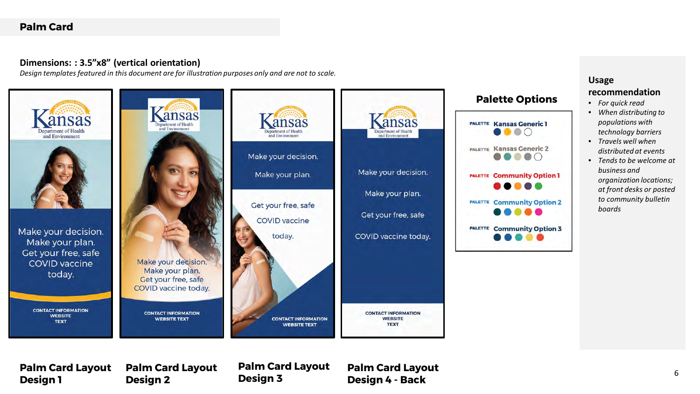## **Palm Card**

#### **Dimensions: : 3.5"x8" (vertical orientation)**

*Design templates featured in this document are for illustration purposes only and are not to scale.*



**Palm Card Layout Design 1**

**Palm Card Layout Design 2**

**Palm Card Layout Design 3**

**Palm Card Layout Design 4 - Back**

• *Tends to be welcome at organization locations; at front desks or posted*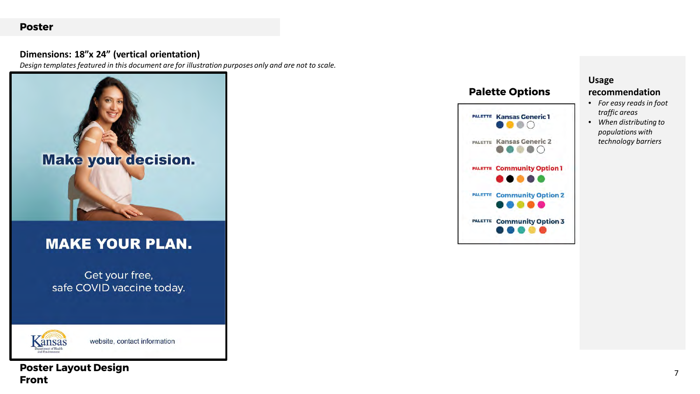#### **Poster**

#### **Dimensions: 18"x 24" (vertical orientation)**

*Design templates featured in this document are for illustration purposes only and are not to scale.*

![](_page_6_Picture_3.jpeg)

## **MAKE YOUR PLAN.**

Get your free, safe COVID vaccine today.

![](_page_6_Picture_6.jpeg)

website, contact information

## **Poster Layout Design Front**

## **Palette Options**

![](_page_6_Picture_10.jpeg)

#### **Usage**

- *For easy reads in foot traffic areas*
- *When distributing to populations with technology barriers*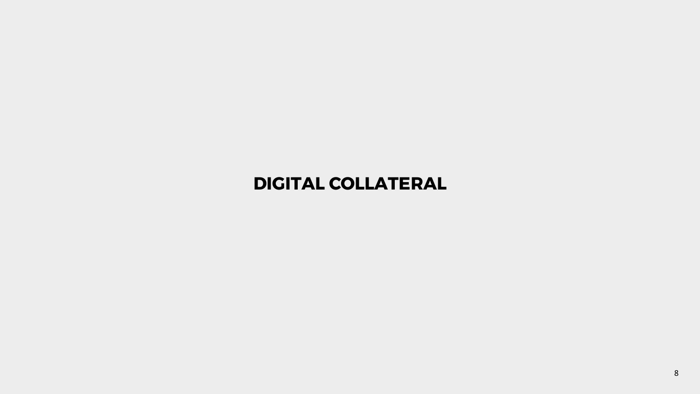# **DIGITAL COLLATERAL**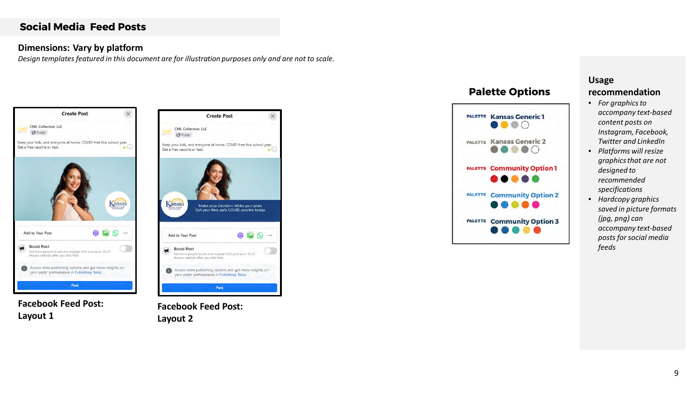#### **Dimensions: Vary by platform**

*Design templates featured in this document are for illustration purposes only and are not to scale.*

![](_page_8_Picture_3.jpeg)

**Facebook Feed Post: Layout 1**

![](_page_8_Picture_5.jpeg)

**Facebook Feed Post: Layout 2**

## **Palette Options**

![](_page_8_Figure_8.jpeg)

## **Usage**

- *For graphics to accompany text-based content posts on Instagram, Facebook, Twitter and LinkedIn*
- *Platforms will resize graphics that are not designed to recommended specifications*
- *Hardcopy graphics saved in picture formats (jpg, png) can accompany text-based posts for social media feeds*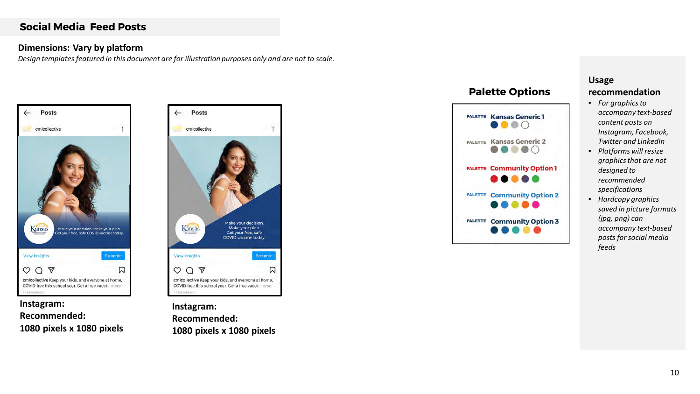#### **Dimensions: Vary by platform**

*Design templates featured in this document are for illustration purposes only and are not to scale.*

![](_page_9_Picture_3.jpeg)

![](_page_9_Picture_4.jpeg)

![](_page_9_Picture_5.jpeg)

**Instagram: Recommended: 1080 pixels x 1080 pixels**

## **Palette Options**

![](_page_9_Figure_8.jpeg)

### **Usage**

- *For graphics to accompany text-based content posts on Instagram, Facebook, Twitter and LinkedIn*
- *Platforms will resize graphics that are not designed to recommended specifications*
- *Hardcopy graphics saved in picture formats (jpg, png) can accompany text-based posts for social media feeds*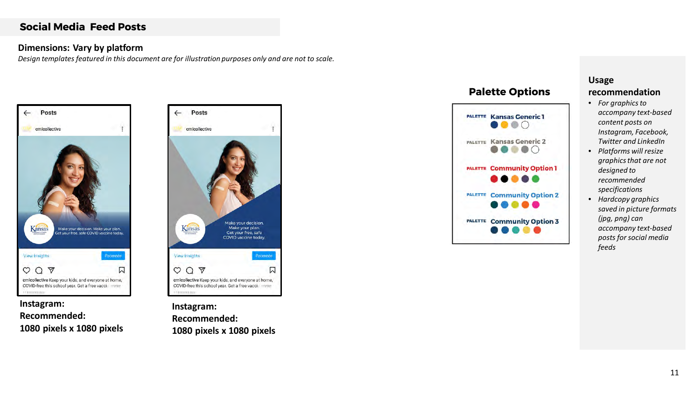#### **Dimensions: Vary by platform**

*Design templates featured in this document are for illustration purposes only and are not to scale.*

![](_page_10_Picture_3.jpeg)

![](_page_10_Picture_4.jpeg)

**Instagram: Recommended: 1080 pixels x 1080 pixels**

**Instagram: Recommended: 1080 pixels x 1080 pixels**

## **Palette Options**

![](_page_10_Figure_8.jpeg)

## **Usage**

- *For graphics to accompany text-based content posts on Instagram, Facebook, Twitter and LinkedIn*
- *Platforms will resize graphics that are not designed to recommended specifications*
- *Hardcopy graphics saved in picture formats (jpg, png) can accompany text-based posts for social media feeds*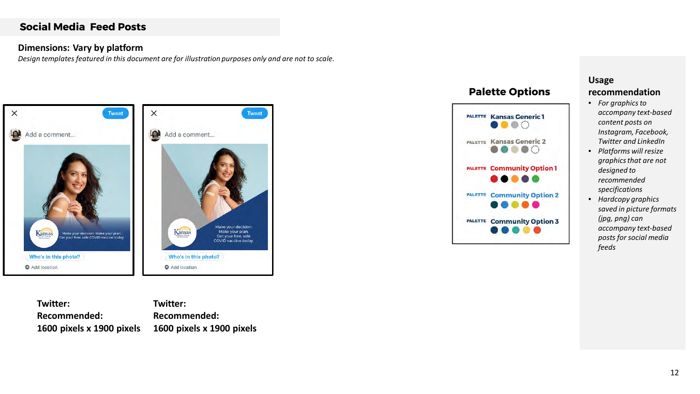#### **Dimensions: Vary by platform**

*Design templates featured in this document are for illustration purposes only and are not to scale.*

![](_page_11_Picture_3.jpeg)

**Twitter: Recommended: 1600 pixels x 1900 pixels Twitter: Recommended: 1600 pixels x 1900 pixels**

## **Palette Options**

![](_page_11_Figure_6.jpeg)

## **Usage**

- *For graphics to accompany text-based content posts on Instagram, Facebook, Twitter and LinkedIn*
- *Platforms will resize graphics that are not designed to recommended specifications*
- *Hardcopy graphics saved in picture formats (jpg, png) can accompany text-based posts for social media feeds*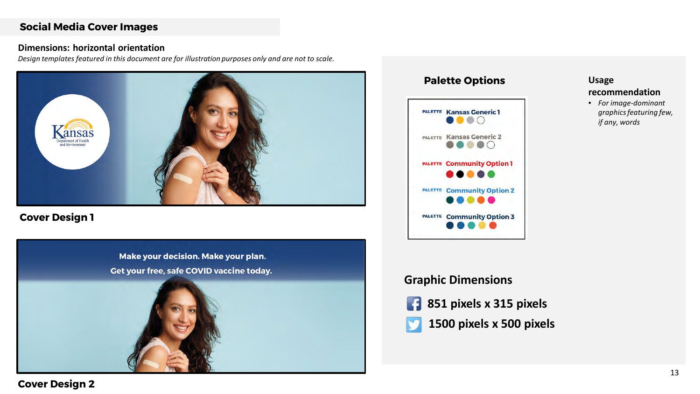#### **Social Media Cover Images**

#### **Dimensions: horizontal orientation**

*Design templates featured in this document are for illustration purposes only and are not to scale.*

![](_page_12_Picture_3.jpeg)

**Cover Design 1**

![](_page_12_Picture_5.jpeg)

## **Palette Options PALETTE Kansas Generic 1**  $\bullet\bullet\bullet\circ$ PALETTE Kansas Generic 2 **DOO** PALETTE Community Option 1 ... PALETTE Community Option 2  $\bullet$   $\bullet$ PALETTE Community Option 3 . . . . .

## **Usage recommendation**

• *For image-dominant graphics featuring few, if any, words*

## **Graphic Dimensions**

**851 pixels x 315 pixels** 

## **Cover Design 2**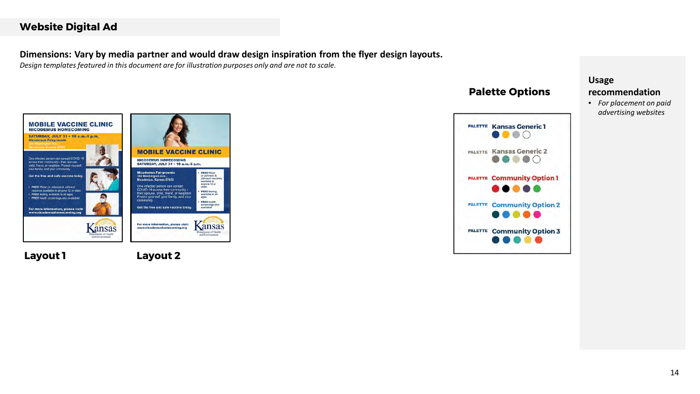#### **Website Digital Ad**

#### **Dimensions: Vary by media partner and would draw design inspiration from the flyer design layouts.**

*Design templates featured in this document are for illustration purposes only and are not to scale.*

![](_page_13_Picture_3.jpeg)

**Layout 1**

**Layout 2**

## **Palette Options**

![](_page_13_Picture_7.jpeg)

#### **Usage**

#### **recommendation**

• *For placement on paid advertising websites*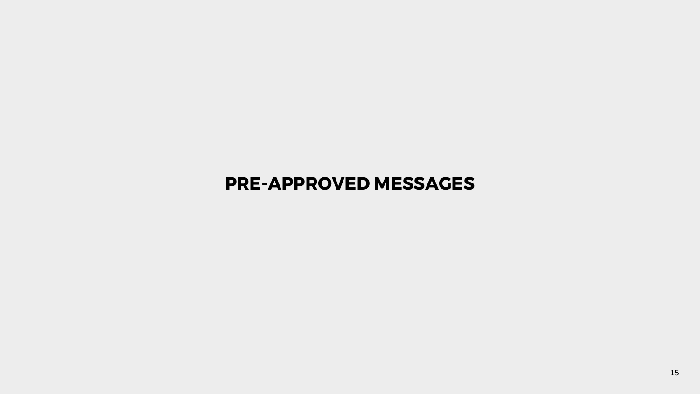## **PRE-APPROVED MESSAGES**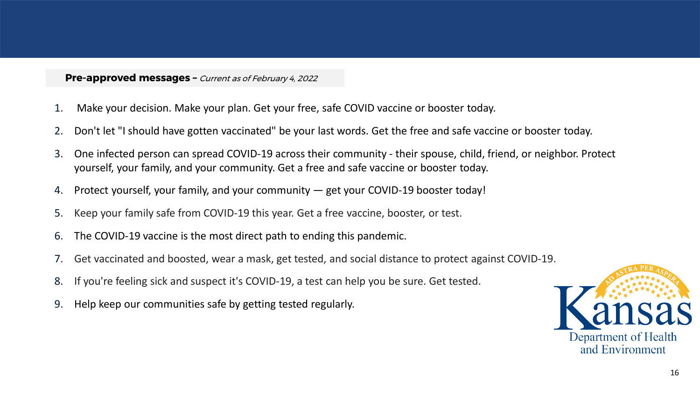#### **Pre-approved messages -** Current as of February 4, 2022

- 1. Make your decision. Make your plan. Get your free, safe COVID vaccine or booster today.
- 2. Don't let "I should have gotten vaccinated" be your last words. Get the free and safe vaccine or booster today.
- 3. One infected person can spread COVID-19 across their community their spouse, child, friend, or neighbor. Protect yourself, your family, and your community. Get a free and safe vaccine or booster today.
- 4. Protect yourself, your family, and your community get your COVID-19 booster today!
- 5. Keep your family safe from COVID-19 this year. Get a free vaccine, booster, or test.
- 6. The COVID-19 vaccine is the most direct path to ending this pandemic.
- 7. Get vaccinated and boosted, wear a mask, get tested, and social distance to protect against COVID-19.
- 8. If you're feeling sick and suspect it's COVID-19, a test can help you be sure. Get tested.
- 9. Help keep our communities safe by getting tested regularly.

![](_page_15_Picture_10.jpeg)